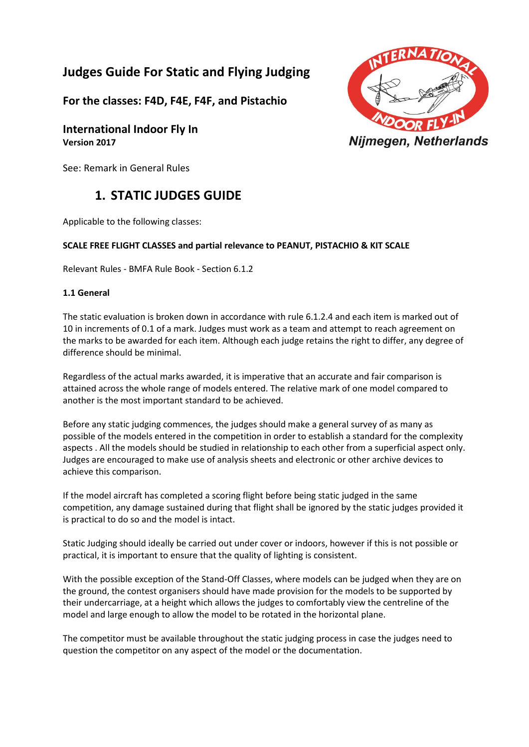# **Judges Guide For Static and Flying Judging**

**For the classes: F4D, F4E, F4F, and Pistachio**

**International Indoor Fly In Version 2017**

See: Remark in General Rules

# **1. STATIC JUDGES GUIDE**

Applicable to the following classes:

# **SCALE FREE FLIGHT CLASSES and partial relevance to PEANUT, PISTACHIO & KIT SCALE**

Relevant Rules - BMFA Rule Book - Section 6.1.2

## **1.1 General**

The static evaluation is broken down in accordance with rule 6.1.2.4 and each item is marked out of 10 in increments of 0.1 of a mark. Judges must work as a team and attempt to reach agreement on the marks to be awarded for each item. Although each judge retains the right to differ, any degree of difference should be minimal.

Regardless of the actual marks awarded, it is imperative that an accurate and fair comparison is attained across the whole range of models entered. The relative mark of one model compared to another is the most important standard to be achieved.

Before any static judging commences, the judges should make a general survey of as many as possible of the models entered in the competition in order to establish a standard for the complexity aspects . All the models should be studied in relationship to each other from a superficial aspect only. Judges are encouraged to make use of analysis sheets and electronic or other archive devices to achieve this comparison.

If the model aircraft has completed a scoring flight before being static judged in the same competition, any damage sustained during that flight shall be ignored by the static judges provided it is practical to do so and the model is intact.

Static Judging should ideally be carried out under cover or indoors, however if this is not possible or practical, it is important to ensure that the quality of lighting is consistent.

With the possible exception of the Stand-Off Classes, where models can be judged when they are on the ground, the contest organisers should have made provision for the models to be supported by their undercarriage, at a height which allows the judges to comfortably view the centreline of the model and large enough to allow the model to be rotated in the horizontal plane.

The competitor must be available throughout the static judging process in case the judges need to question the competitor on any aspect of the model or the documentation.

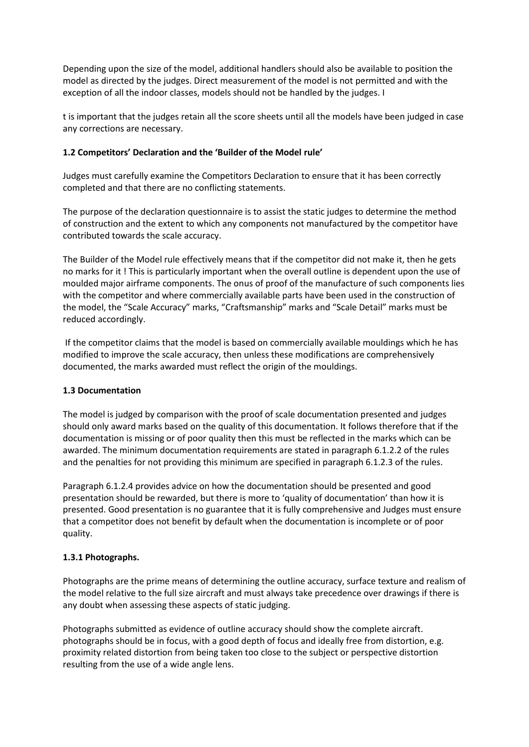Depending upon the size of the model, additional handlers should also be available to position the model as directed by the judges. Direct measurement of the model is not permitted and with the exception of all the indoor classes, models should not be handled by the judges. I

t is important that the judges retain all the score sheets until all the models have been judged in case any corrections are necessary.

# **1.2 Competitors' Declaration and the 'Builder of the Model rule'**

Judges must carefully examine the Competitors Declaration to ensure that it has been correctly completed and that there are no conflicting statements.

The purpose of the declaration questionnaire is to assist the static judges to determine the method of construction and the extent to which any components not manufactured by the competitor have contributed towards the scale accuracy.

The Builder of the Model rule effectively means that if the competitor did not make it, then he gets no marks for it ! This is particularly important when the overall outline is dependent upon the use of moulded major airframe components. The onus of proof of the manufacture of such components lies with the competitor and where commercially available parts have been used in the construction of the model, the "Scale Accuracy" marks, "Craftsmanship" marks and "Scale Detail" marks must be reduced accordingly.

If the competitor claims that the model is based on commercially available mouldings which he has modified to improve the scale accuracy, then unless these modifications are comprehensively documented, the marks awarded must reflect the origin of the mouldings.

# **1.3 Documentation**

The model is judged by comparison with the proof of scale documentation presented and judges should only award marks based on the quality of this documentation. It follows therefore that if the documentation is missing or of poor quality then this must be reflected in the marks which can be awarded. The minimum documentation requirements are stated in paragraph 6.1.2.2 of the rules and the penalties for not providing this minimum are specified in paragraph 6.1.2.3 of the rules.

Paragraph 6.1.2.4 provides advice on how the documentation should be presented and good presentation should be rewarded, but there is more to 'quality of documentation' than how it is presented. Good presentation is no guarantee that it is fully comprehensive and Judges must ensure that a competitor does not benefit by default when the documentation is incomplete or of poor quality.

# **1.3.1 Photographs.**

Photographs are the prime means of determining the outline accuracy, surface texture and realism of the model relative to the full size aircraft and must always take precedence over drawings if there is any doubt when assessing these aspects of static judging.

Photographs submitted as evidence of outline accuracy should show the complete aircraft. photographs should be in focus, with a good depth of focus and ideally free from distortion, e.g. proximity related distortion from being taken too close to the subject or perspective distortion resulting from the use of a wide angle lens.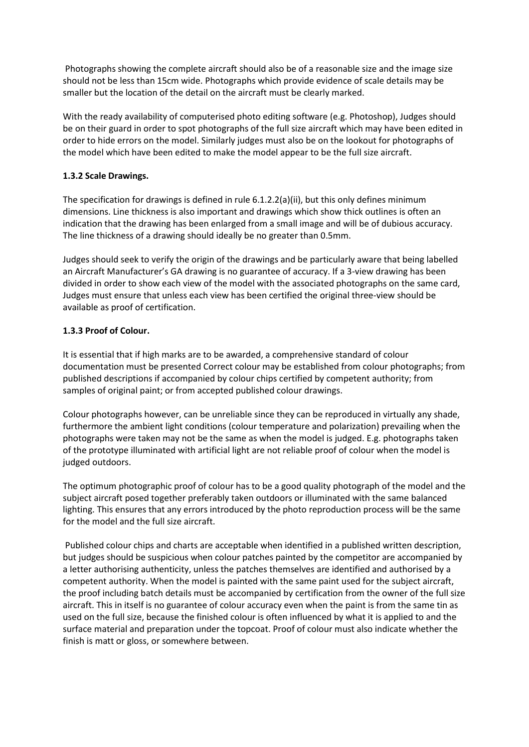Photographs showing the complete aircraft should also be of a reasonable size and the image size should not be less than 15cm wide. Photographs which provide evidence of scale details may be smaller but the location of the detail on the aircraft must be clearly marked.

With the ready availability of computerised photo editing software (e.g. Photoshop), Judges should be on their guard in order to spot photographs of the full size aircraft which may have been edited in order to hide errors on the model. Similarly judges must also be on the lookout for photographs of the model which have been edited to make the model appear to be the full size aircraft.

# **1.3.2 Scale Drawings.**

The specification for drawings is defined in rule 6.1.2.2(a)(ii), but this only defines minimum dimensions. Line thickness is also important and drawings which show thick outlines is often an indication that the drawing has been enlarged from a small image and will be of dubious accuracy. The line thickness of a drawing should ideally be no greater than 0.5mm.

Judges should seek to verify the origin of the drawings and be particularly aware that being labelled an Aircraft Manufacturer's GA drawing is no guarantee of accuracy. If a 3-view drawing has been divided in order to show each view of the model with the associated photographs on the same card, Judges must ensure that unless each view has been certified the original three-view should be available as proof of certification.

# **1.3.3 Proof of Colour.**

It is essential that if high marks are to be awarded, a comprehensive standard of colour documentation must be presented Correct colour may be established from colour photographs; from published descriptions if accompanied by colour chips certified by competent authority; from samples of original paint; or from accepted published colour drawings.

Colour photographs however, can be unreliable since they can be reproduced in virtually any shade, furthermore the ambient light conditions (colour temperature and polarization) prevailing when the photographs were taken may not be the same as when the model is judged. E.g. photographs taken of the prototype illuminated with artificial light are not reliable proof of colour when the model is judged outdoors.

The optimum photographic proof of colour has to be a good quality photograph of the model and the subject aircraft posed together preferably taken outdoors or illuminated with the same balanced lighting. This ensures that any errors introduced by the photo reproduction process will be the same for the model and the full size aircraft.

Published colour chips and charts are acceptable when identified in a published written description, but judges should be suspicious when colour patches painted by the competitor are accompanied by a letter authorising authenticity, unless the patches themselves are identified and authorised by a competent authority. When the model is painted with the same paint used for the subject aircraft, the proof including batch details must be accompanied by certification from the owner of the full size aircraft. This in itself is no guarantee of colour accuracy even when the paint is from the same tin as used on the full size, because the finished colour is often influenced by what it is applied to and the surface material and preparation under the topcoat. Proof of colour must also indicate whether the finish is matt or gloss, or somewhere between.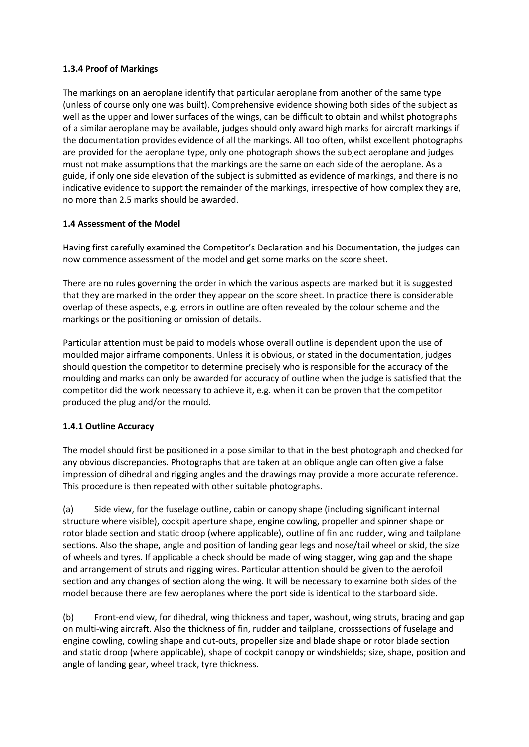## **1.3.4 Proof of Markings**

The markings on an aeroplane identify that particular aeroplane from another of the same type (unless of course only one was built). Comprehensive evidence showing both sides of the subject as well as the upper and lower surfaces of the wings, can be difficult to obtain and whilst photographs of a similar aeroplane may be available, judges should only award high marks for aircraft markings if the documentation provides evidence of all the markings. All too often, whilst excellent photographs are provided for the aeroplane type, only one photograph shows the subject aeroplane and judges must not make assumptions that the markings are the same on each side of the aeroplane. As a guide, if only one side elevation of the subject is submitted as evidence of markings, and there is no indicative evidence to support the remainder of the markings, irrespective of how complex they are, no more than 2.5 marks should be awarded.

## **1.4 Assessment of the Model**

Having first carefully examined the Competitor's Declaration and his Documentation, the judges can now commence assessment of the model and get some marks on the score sheet.

There are no rules governing the order in which the various aspects are marked but it is suggested that they are marked in the order they appear on the score sheet. In practice there is considerable overlap of these aspects, e.g. errors in outline are often revealed by the colour scheme and the markings or the positioning or omission of details.

Particular attention must be paid to models whose overall outline is dependent upon the use of moulded major airframe components. Unless it is obvious, or stated in the documentation, judges should question the competitor to determine precisely who is responsible for the accuracy of the moulding and marks can only be awarded for accuracy of outline when the judge is satisfied that the competitor did the work necessary to achieve it, e.g. when it can be proven that the competitor produced the plug and/or the mould.

# **1.4.1 Outline Accuracy**

The model should first be positioned in a pose similar to that in the best photograph and checked for any obvious discrepancies. Photographs that are taken at an oblique angle can often give a false impression of dihedral and rigging angles and the drawings may provide a more accurate reference. This procedure is then repeated with other suitable photographs.

(a) Side view, for the fuselage outline, cabin or canopy shape (including significant internal structure where visible), cockpit aperture shape, engine cowling, propeller and spinner shape or rotor blade section and static droop (where applicable), outline of fin and rudder, wing and tailplane sections. Also the shape, angle and position of landing gear legs and nose/tail wheel or skid, the size of wheels and tyres. If applicable a check should be made of wing stagger, wing gap and the shape and arrangement of struts and rigging wires. Particular attention should be given to the aerofoil section and any changes of section along the wing. It will be necessary to examine both sides of the model because there are few aeroplanes where the port side is identical to the starboard side.

(b) Front-end view, for dihedral, wing thickness and taper, washout, wing struts, bracing and gap on multi-wing aircraft. Also the thickness of fin, rudder and tailplane, crosssections of fuselage and engine cowling, cowling shape and cut-outs, propeller size and blade shape or rotor blade section and static droop (where applicable), shape of cockpit canopy or windshields; size, shape, position and angle of landing gear, wheel track, tyre thickness.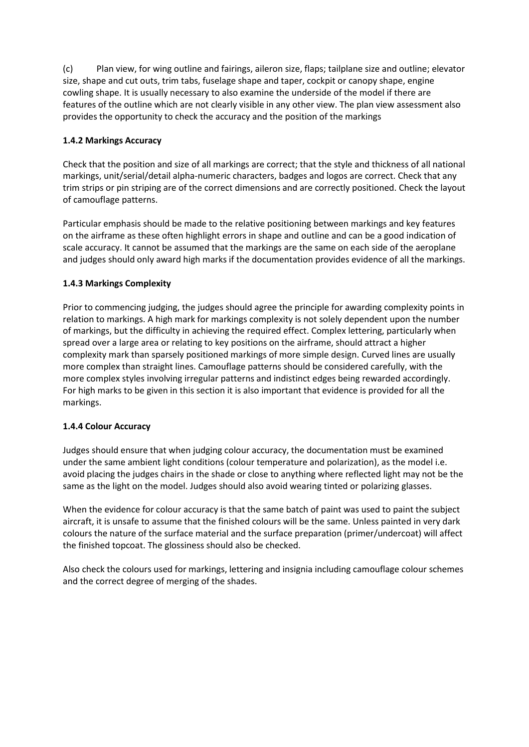(c) Plan view, for wing outline and fairings, aileron size, flaps; tailplane size and outline; elevator size, shape and cut outs, trim tabs, fuselage shape and taper, cockpit or canopy shape, engine cowling shape. It is usually necessary to also examine the underside of the model if there are features of the outline which are not clearly visible in any other view. The plan view assessment also provides the opportunity to check the accuracy and the position of the markings

# **1.4.2 Markings Accuracy**

Check that the position and size of all markings are correct; that the style and thickness of all national markings, unit/serial/detail alpha-numeric characters, badges and logos are correct. Check that any trim strips or pin striping are of the correct dimensions and are correctly positioned. Check the layout of camouflage patterns.

Particular emphasis should be made to the relative positioning between markings and key features on the airframe as these often highlight errors in shape and outline and can be a good indication of scale accuracy. It cannot be assumed that the markings are the same on each side of the aeroplane and judges should only award high marks if the documentation provides evidence of all the markings.

# **1.4.3 Markings Complexity**

Prior to commencing judging, the judges should agree the principle for awarding complexity points in relation to markings. A high mark for markings complexity is not solely dependent upon the number of markings, but the difficulty in achieving the required effect. Complex lettering, particularly when spread over a large area or relating to key positions on the airframe, should attract a higher complexity mark than sparsely positioned markings of more simple design. Curved lines are usually more complex than straight lines. Camouflage patterns should be considered carefully, with the more complex styles involving irregular patterns and indistinct edges being rewarded accordingly. For high marks to be given in this section it is also important that evidence is provided for all the markings.

# **1.4.4 Colour Accuracy**

Judges should ensure that when judging colour accuracy, the documentation must be examined under the same ambient light conditions (colour temperature and polarization), as the model i.e. avoid placing the judges chairs in the shade or close to anything where reflected light may not be the same as the light on the model. Judges should also avoid wearing tinted or polarizing glasses.

When the evidence for colour accuracy is that the same batch of paint was used to paint the subject aircraft, it is unsafe to assume that the finished colours will be the same. Unless painted in very dark colours the nature of the surface material and the surface preparation (primer/undercoat) will affect the finished topcoat. The glossiness should also be checked.

Also check the colours used for markings, lettering and insignia including camouflage colour schemes and the correct degree of merging of the shades.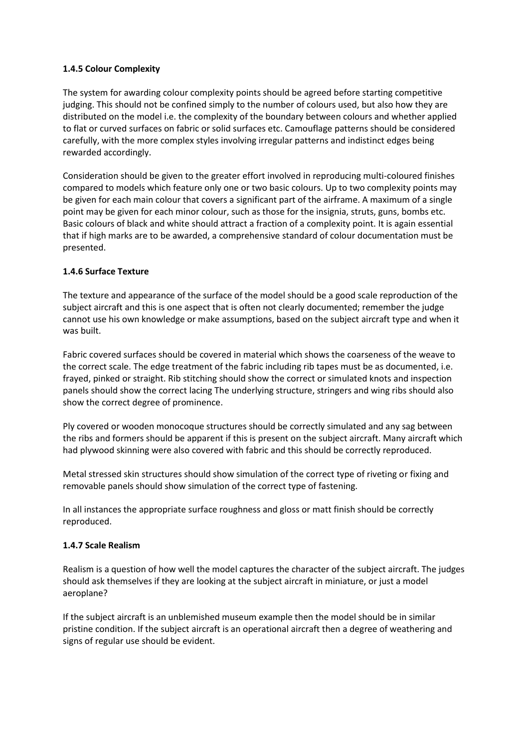## **1.4.5 Colour Complexity**

The system for awarding colour complexity points should be agreed before starting competitive judging. This should not be confined simply to the number of colours used, but also how they are distributed on the model i.e. the complexity of the boundary between colours and whether applied to flat or curved surfaces on fabric or solid surfaces etc. Camouflage patterns should be considered carefully, with the more complex styles involving irregular patterns and indistinct edges being rewarded accordingly.

Consideration should be given to the greater effort involved in reproducing multi-coloured finishes compared to models which feature only one or two basic colours. Up to two complexity points may be given for each main colour that covers a significant part of the airframe. A maximum of a single point may be given for each minor colour, such as those for the insignia, struts, guns, bombs etc. Basic colours of black and white should attract a fraction of a complexity point. It is again essential that if high marks are to be awarded, a comprehensive standard of colour documentation must be presented.

## **1.4.6 Surface Texture**

The texture and appearance of the surface of the model should be a good scale reproduction of the subject aircraft and this is one aspect that is often not clearly documented; remember the judge cannot use his own knowledge or make assumptions, based on the subject aircraft type and when it was built.

Fabric covered surfaces should be covered in material which shows the coarseness of the weave to the correct scale. The edge treatment of the fabric including rib tapes must be as documented, i.e. frayed, pinked or straight. Rib stitching should show the correct or simulated knots and inspection panels should show the correct lacing The underlying structure, stringers and wing ribs should also show the correct degree of prominence.

Ply covered or wooden monocoque structures should be correctly simulated and any sag between the ribs and formers should be apparent if this is present on the subject aircraft. Many aircraft which had plywood skinning were also covered with fabric and this should be correctly reproduced.

Metal stressed skin structures should show simulation of the correct type of riveting or fixing and removable panels should show simulation of the correct type of fastening.

In all instances the appropriate surface roughness and gloss or matt finish should be correctly reproduced.

## **1.4.7 Scale Realism**

Realism is a question of how well the model captures the character of the subject aircraft. The judges should ask themselves if they are looking at the subject aircraft in miniature, or just a model aeroplane?

If the subject aircraft is an unblemished museum example then the model should be in similar pristine condition. If the subject aircraft is an operational aircraft then a degree of weathering and signs of regular use should be evident.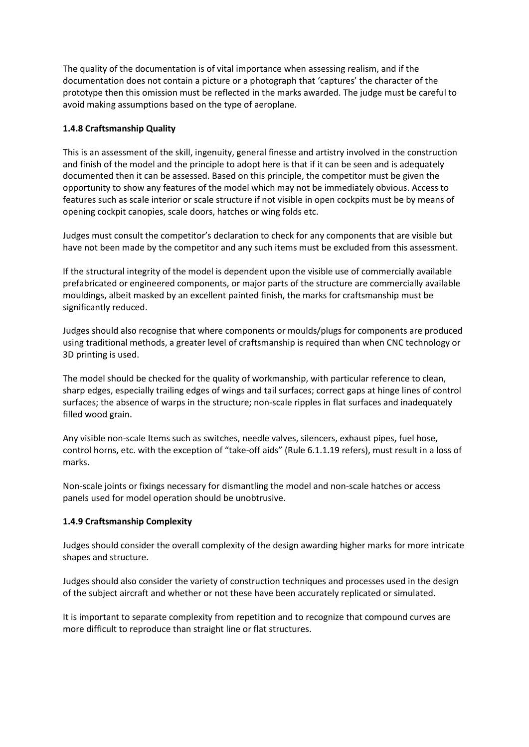The quality of the documentation is of vital importance when assessing realism, and if the documentation does not contain a picture or a photograph that 'captures' the character of the prototype then this omission must be reflected in the marks awarded. The judge must be careful to avoid making assumptions based on the type of aeroplane.

# **1.4.8 Craftsmanship Quality**

This is an assessment of the skill, ingenuity, general finesse and artistry involved in the construction and finish of the model and the principle to adopt here is that if it can be seen and is adequately documented then it can be assessed. Based on this principle, the competitor must be given the opportunity to show any features of the model which may not be immediately obvious. Access to features such as scale interior or scale structure if not visible in open cockpits must be by means of opening cockpit canopies, scale doors, hatches or wing folds etc.

Judges must consult the competitor's declaration to check for any components that are visible but have not been made by the competitor and any such items must be excluded from this assessment.

If the structural integrity of the model is dependent upon the visible use of commercially available prefabricated or engineered components, or major parts of the structure are commercially available mouldings, albeit masked by an excellent painted finish, the marks for craftsmanship must be significantly reduced.

Judges should also recognise that where components or moulds/plugs for components are produced using traditional methods, a greater level of craftsmanship is required than when CNC technology or 3D printing is used.

The model should be checked for the quality of workmanship, with particular reference to clean, sharp edges, especially trailing edges of wings and tail surfaces; correct gaps at hinge lines of control surfaces; the absence of warps in the structure; non-scale ripples in flat surfaces and inadequately filled wood grain.

Any visible non-scale Items such as switches, needle valves, silencers, exhaust pipes, fuel hose, control horns, etc. with the exception of "take-off aids" (Rule 6.1.1.19 refers), must result in a loss of marks.

Non-scale joints or fixings necessary for dismantling the model and non-scale hatches or access panels used for model operation should be unobtrusive.

## **1.4.9 Craftsmanship Complexity**

Judges should consider the overall complexity of the design awarding higher marks for more intricate shapes and structure.

Judges should also consider the variety of construction techniques and processes used in the design of the subject aircraft and whether or not these have been accurately replicated or simulated.

It is important to separate complexity from repetition and to recognize that compound curves are more difficult to reproduce than straight line or flat structures.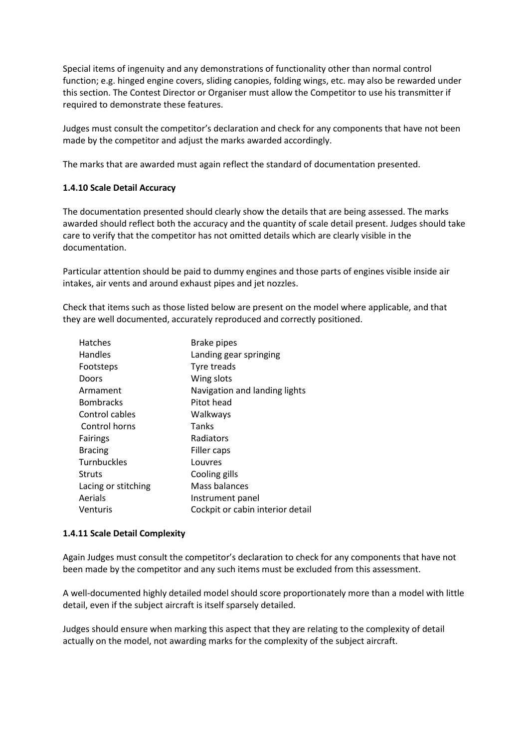Special items of ingenuity and any demonstrations of functionality other than normal control function; e.g. hinged engine covers, sliding canopies, folding wings, etc. may also be rewarded under this section. The Contest Director or Organiser must allow the Competitor to use his transmitter if required to demonstrate these features.

Judges must consult the competitor's declaration and check for any components that have not been made by the competitor and adjust the marks awarded accordingly.

The marks that are awarded must again reflect the standard of documentation presented.

## **1.4.10 Scale Detail Accuracy**

The documentation presented should clearly show the details that are being assessed. The marks awarded should reflect both the accuracy and the quantity of scale detail present. Judges should take care to verify that the competitor has not omitted details which are clearly visible in the documentation.

Particular attention should be paid to dummy engines and those parts of engines visible inside air intakes, air vents and around exhaust pipes and jet nozzles.

Check that items such as those listed below are present on the model where applicable, and that they are well documented, accurately reproduced and correctly positioned.

| <b>Hatches</b>      | <b>Brake pipes</b>               |
|---------------------|----------------------------------|
| <b>Handles</b>      | Landing gear springing           |
| Footsteps           | Tyre treads                      |
| Doors               | Wing slots                       |
| Armament            | Navigation and landing lights    |
| <b>Bombracks</b>    | Pitot head                       |
| Control cables      | Walkways                         |
| Control horns       | Tanks                            |
| <b>Fairings</b>     | Radiators                        |
| <b>Bracing</b>      | Filler caps                      |
| <b>Turnbuckles</b>  | Louvres                          |
| <b>Struts</b>       | Cooling gills                    |
| Lacing or stitching | Mass balances                    |
| Aerials             | Instrument panel                 |
| Venturis            | Cockpit or cabin interior detail |

#### **1.4.11 Scale Detail Complexity**

Again Judges must consult the competitor's declaration to check for any components that have not been made by the competitor and any such items must be excluded from this assessment.

A well-documented highly detailed model should score proportionately more than a model with little detail, even if the subject aircraft is itself sparsely detailed.

Judges should ensure when marking this aspect that they are relating to the complexity of detail actually on the model, not awarding marks for the complexity of the subject aircraft.